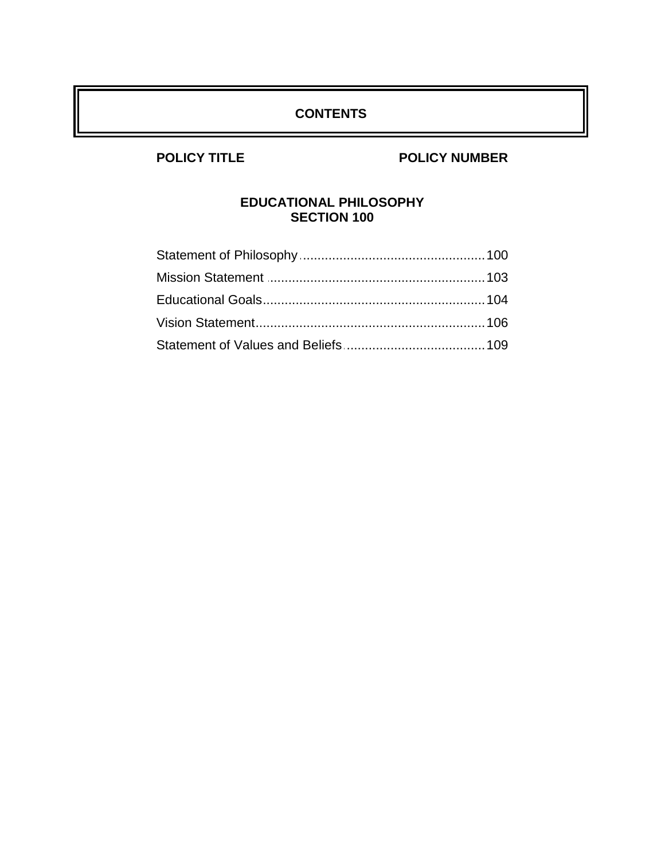## **CONTENTS**

## **POLICY TITLE POLICY NUMBER**

## **EDUCATIONAL PHILOSOPHY SECTION 100**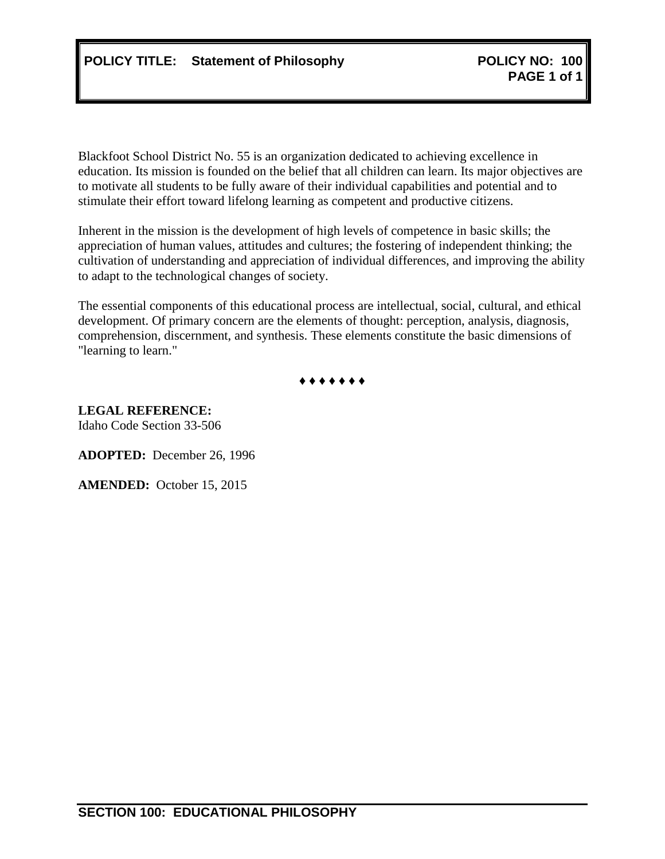<span id="page-1-0"></span>Blackfoot School District No. 55 is an organization dedicated to achieving excellence in education. Its mission is founded on the belief that all children can learn. Its major objectives are to motivate all students to be fully aware of their individual capabilities and potential and to stimulate their effort toward lifelong learning as competent and productive citizens.

Inherent in the mission is the development of high levels of competence in basic skills; the appreciation of human values, attitudes and cultures; the fostering of independent thinking; the cultivation of understanding and appreciation of individual differences, and improving the ability to adapt to the technological changes of society.

The essential components of this educational process are intellectual, social, cultural, and ethical development. Of primary concern are the elements of thought: perception, analysis, diagnosis, comprehension, discernment, and synthesis. These elements constitute the basic dimensions of "learning to learn."



**LEGAL REFERENCE:** Idaho Code Section 33-506

**ADOPTED:** December 26, 1996

**AMENDED:** October 15, 2015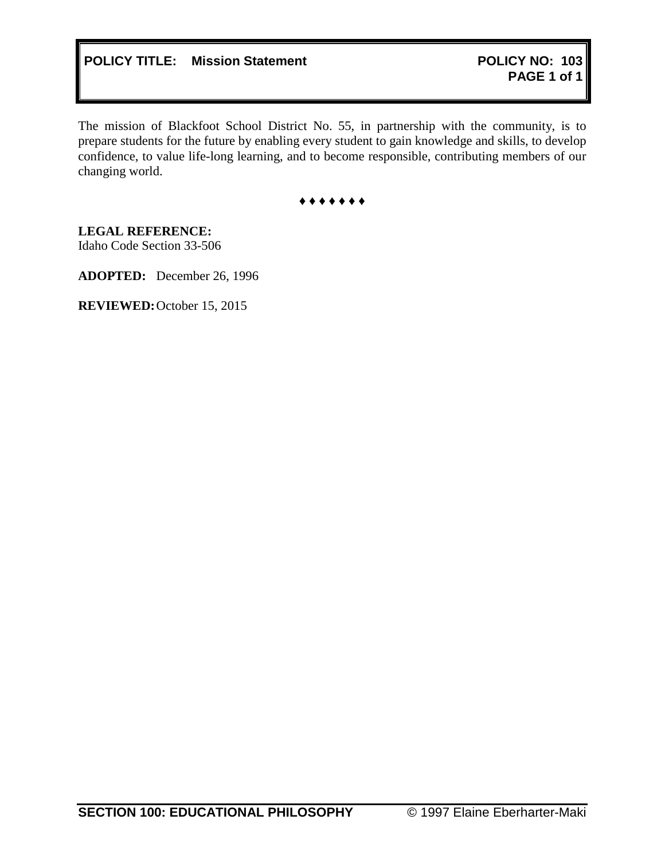<span id="page-2-0"></span>The mission of Blackfoot School District No. 55, in partnership with the community, is to prepare students for the future by enabling every student to gain knowledge and skills, to develop confidence, to value life-long learning, and to become responsible, contributing members of our changing world.

**♦ ♦ ♦ ♦ ♦ ♦ ♦**

**LEGAL REFERENCE:** Idaho Code Section 33-506

**ADOPTED:** December 26, 1996

**REVIEWED:**October 15, 2015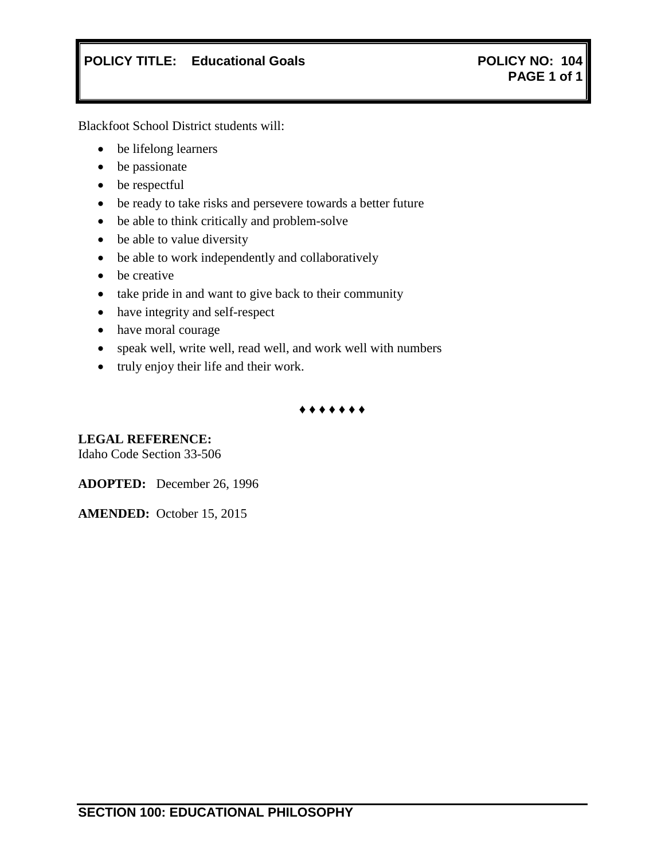# <span id="page-3-0"></span>**POLICY TITLE: Educational Goals POLICY NO: 104**

Blackfoot School District students will:

- be lifelong learners
- be passionate
- be respectful
- be ready to take risks and persevere towards a better future
- be able to think critically and problem-solve
- be able to value diversity
- be able to work independently and collaboratively
- be creative
- take pride in and want to give back to their community
- have integrity and self-respect
- have moral courage
- speak well, write well, read well, and work well with numbers
- truly enjoy their life and their work.

**♦ ♦ ♦ ♦ ♦ ♦ ♦**

### **LEGAL REFERENCE:**

Idaho Code Section 33-506

**ADOPTED:** December 26, 1996

**AMENDED:** October 15, 2015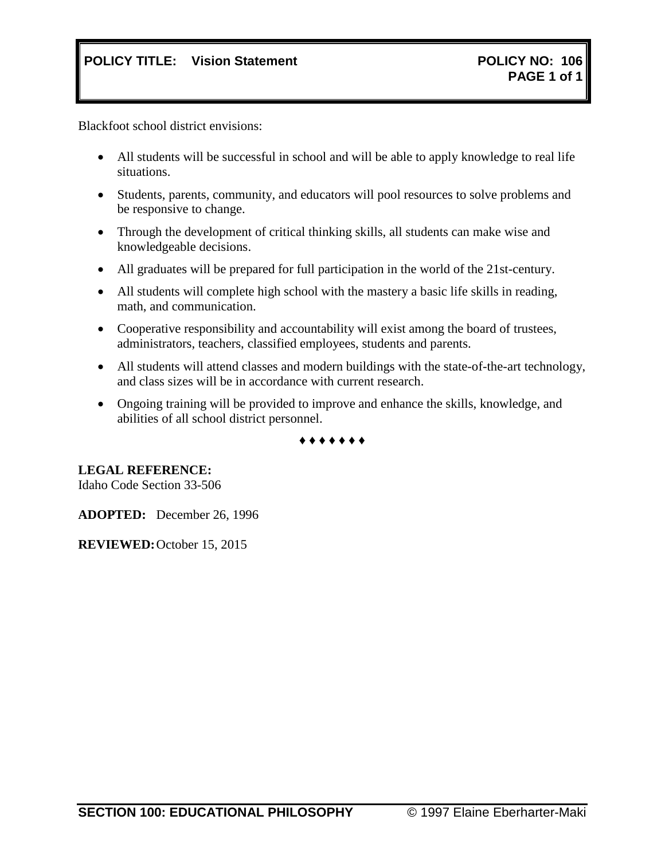<span id="page-4-0"></span>Blackfoot school district envisions:

- All students will be successful in school and will be able to apply knowledge to real life situations.
- Students, parents, community, and educators will pool resources to solve problems and be responsive to change.
- Through the development of critical thinking skills, all students can make wise and knowledgeable decisions.
- All graduates will be prepared for full participation in the world of the 21st-century.
- All students will complete high school with the mastery a basic life skills in reading, math, and communication.
- Cooperative responsibility and accountability will exist among the board of trustees, administrators, teachers, classified employees, students and parents.
- All students will attend classes and modern buildings with the state-of-the-art technology, and class sizes will be in accordance with current research.
- Ongoing training will be provided to improve and enhance the skills, knowledge, and abilities of all school district personnel.

**♦ ♦ ♦ ♦ ♦ ♦ ♦**

**LEGAL REFERENCE:**

Idaho Code Section 33-506

**ADOPTED:** December 26, 1996

**REVIEWED:**October 15, 2015